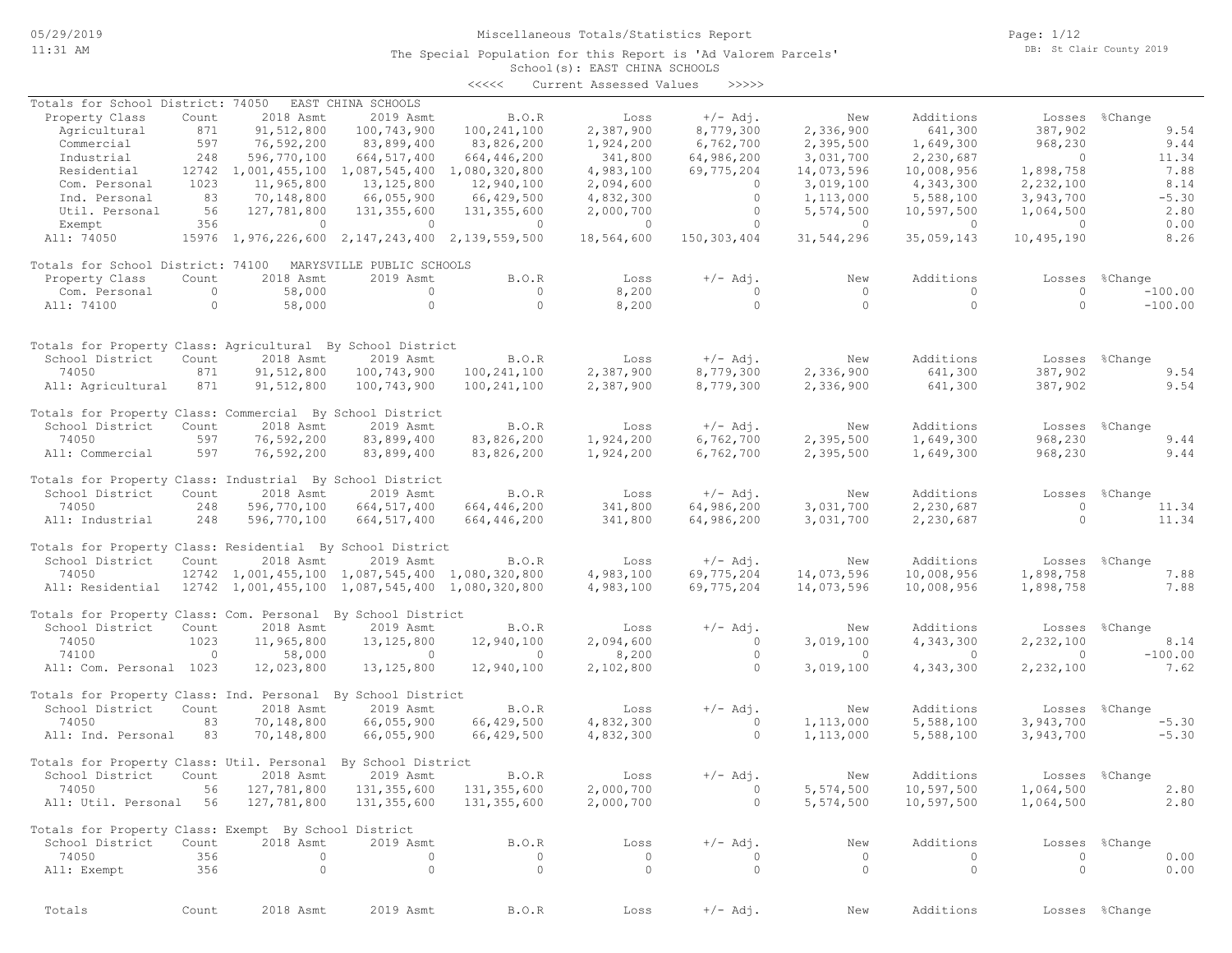The Special Population for this Report is 'Ad Valorem Parcels'

Page: 1/12 DB: St Clair County 2019

#### School(s): EAST CHINA SCHOOLS <<<<< Current Assessed Values >>>>>

| Totals for School District: 74050                                                                                                                                                                                               |         |                     | EAST CHINA SCHOOLS                              |               |                |             |                |                |                |                |
|---------------------------------------------------------------------------------------------------------------------------------------------------------------------------------------------------------------------------------|---------|---------------------|-------------------------------------------------|---------------|----------------|-------------|----------------|----------------|----------------|----------------|
| Property Class                                                                                                                                                                                                                  | Count   | 2018 Asmt           | 2019 Asmt                                       | B.O.R         | Loss           | $+/-$ Adj.  | New            | Additions      | Losses         | %Change        |
| Agricultural                                                                                                                                                                                                                    | 871     | 91,512,800          | 100,743,900                                     | 100,241,100   | 2,387,900      | 8,779,300   | 2,336,900      | 641,300        | 387,902        | 9.54           |
| Commercial                                                                                                                                                                                                                      | 597     | 76,592,200          | 83,899,400                                      | 83,826,200    | 1,924,200      | 6,762,700   | 2,395,500      | 1,649,300      | 968,230        | 9.44           |
| Industrial                                                                                                                                                                                                                      | 248     | 596,770,100         | 664, 517, 400                                   | 664,446,200   | 341,800        | 64,986,200  | 3,031,700      | 2,230,687      | $\bigcirc$     | 11.34          |
| Residential                                                                                                                                                                                                                     | 12742   | 1,001,455,100       | 1,087,545,400                                   | 1,080,320,800 | 4,983,100      | 69,775,204  | 14,073,596     | 10,008,956     | 1,898,758      | 7.88           |
| Com. Personal                                                                                                                                                                                                                   | 1023    | 11,965,800          | 13, 125, 800                                    | 12,940,100    | 2,094,600      | $\circ$     | 3,019,100      | 4,343,300      | 2,232,100      | 8.14           |
| Ind. Personal                                                                                                                                                                                                                   | 83      | 70,148,800          | 66,055,900                                      | 66,429,500    | 4,832,300      | $\circ$     | 1,113,000      | 5,588,100      | 3,943,700      | $-5.30$        |
| Util. Personal                                                                                                                                                                                                                  | 56      | 127,781,800         | 131, 355, 600                                   | 131,355,600   | 2,000,700      | $\circ$     | 5,574,500      | 10,597,500     | 1,064,500      | 2.80           |
| Exempt                                                                                                                                                                                                                          | 356     | $\overline{0}$      | $\overline{0}$                                  | $\circ$       | $\overline{0}$ | $\circ$     | $\overline{0}$ | $\overline{0}$ | $\overline{0}$ | 0.00           |
| All: 74050                                                                                                                                                                                                                      |         |                     | 15976 1,976,226,600 2,147,243,400 2,139,559,500 |               | 18,564,600     | 150,303,404 | 31,544,296     | 35,059,143     | 10,495,190     | 8.26           |
| Totals for School District: 74100                                                                                                                                                                                               |         |                     | MARYSVILLE PUBLIC SCHOOLS                       |               |                |             |                |                |                |                |
| Property Class                                                                                                                                                                                                                  | Count   | 2018 Asmt           | 2019 Asmt                                       | B.O.R         | Loss           | $+/-$ Adj.  | New            | Additions      | Losses         | %Change        |
| Com. Personal                                                                                                                                                                                                                   | $\circ$ | 58,000              | $\mathbf{0}$                                    | $\circ$       | 8,200          | $\circ$     | $\circ$        | $\circ$        | $\circ$        | $-100.00$      |
| All: 74100                                                                                                                                                                                                                      | $\circ$ | 58,000              | $\circ$                                         | $\circ$       | 8,200          | $\circ$     | $\Omega$       | $\circ$        | $\Omega$       | $-100.00$      |
|                                                                                                                                                                                                                                 |         |                     |                                                 |               |                |             |                |                |                |                |
| Totals for Property Class: Agricultural By School District                                                                                                                                                                      |         |                     |                                                 |               |                |             |                |                |                |                |
| School District                                                                                                                                                                                                                 | Count   | 2018 Asmt           | 2019 Asmt                                       | B.O.R         | Loss           | $+/-$ Adj.  | New            | Additions      | Losses         | %Change        |
| 74050                                                                                                                                                                                                                           | 871     | 91,512,800          | 100,743,900                                     | 100, 241, 100 | 2,387,900      | 8,779,300   | 2,336,900      | 641,300        | 387,902        | 9.54           |
| All: Agricultural                                                                                                                                                                                                               | 871     | 91,512,800          | 100,743,900                                     | 100, 241, 100 | 2,387,900      | 8,779,300   | 2,336,900      | 641,300        | 387,902        | 9.54           |
| Totals for Property Class: Commercial By School District                                                                                                                                                                        |         |                     |                                                 |               |                |             |                |                |                |                |
| School District                                                                                                                                                                                                                 | Count   | 2018 Asmt           | 2019 Asmt                                       | B.O.R         | Loss           | $+/-$ Adj.  | New            | Additions      |                | Losses %Change |
| 74050                                                                                                                                                                                                                           | 597     | 76,592,200          | 83,899,400                                      | 83,826,200    | 1,924,200      | 6,762,700   | 2,395,500      | 1,649,300      | 968,230        | 9.44           |
| All: Commercial                                                                                                                                                                                                                 | 597     | 76,592,200          | 83,899,400                                      | 83,826,200    | 1,924,200      | 6,762,700   | 2,395,500      | 1,649,300      | 968,230        | 9.44           |
| Totals for Property Class: Industrial By School District                                                                                                                                                                        |         |                     |                                                 |               |                |             |                |                |                |                |
| School District                                                                                                                                                                                                                 | Count   | 2018 Asmt           | 2019 Asmt                                       | B.O.R         | Loss           | $+/-$ Adj.  | New            | Additions      | Losses         | %Change        |
| 74050                                                                                                                                                                                                                           | 248     | 596,770,100         | 664, 517, 400                                   | 664,446,200   | 341,800        | 64,986,200  | 3,031,700      | 2,230,687      | $\circ$        | 11.34          |
| All: Industrial                                                                                                                                                                                                                 | 248     | 596,770,100         | 664, 517, 400                                   | 664,446,200   | 341,800        | 64,986,200  | 3,031,700      | 2,230,687      | $\circ$        | 11.34          |
| Totals for Property Class: Residential By School District                                                                                                                                                                       |         |                     |                                                 |               |                |             |                |                |                |                |
| School District                                                                                                                                                                                                                 | Count   | 2018 Asmt           | 2019 Asmt                                       | B.O.R         | Loss           | $+/-$ Adj.  | New            | Additions      |                | Losses %Change |
| 74050                                                                                                                                                                                                                           |         | 12742 1,001,455,100 | 1,087,545,400 1,080,320,800                     |               | 4,983,100      | 69,775,204  | 14,073,596     | 10,008,956     | 1,898,758      | 7.88           |
| All: Residential                                                                                                                                                                                                                |         |                     | 12742 1,001,455,100 1,087,545,400 1,080,320,800 |               | 4,983,100      | 69,775,204  | 14,073,596     | 10,008,956     | 1,898,758      | 7.88           |
| Totals for Property Class: Com. Personal By School District                                                                                                                                                                     |         |                     |                                                 |               |                |             |                |                |                |                |
| School District                                                                                                                                                                                                                 | Count   | 2018 Asmt           | 2019 Asmt                                       | B.O.R         | Loss           | $+/-$ Adj.  | New            | Additions      | Losses         | %Change        |
| 74050                                                                                                                                                                                                                           | 1023    | 11,965,800          | 13, 125, 800                                    | 12,940,100    | 2,094,600      | $\circ$     | 3,019,100      | 4,343,300      | 2,232,100      | 8.14           |
| 74100                                                                                                                                                                                                                           | $\circ$ | 58,000              | $\circ$                                         | $\circ$       | 8,200          | $\circ$     | $\circ$        | $\circ$        | $\circ$        | $-100.00$      |
| All: Com. Personal 1023                                                                                                                                                                                                         |         | 12,023,800          | 13, 125, 800                                    | 12,940,100    | 2,102,800      | $\circ$     | 3,019,100      | 4,343,300      | 2,232,100      | 7.62           |
| Totals for Property Class: Ind. Personal By School District                                                                                                                                                                     |         |                     |                                                 |               |                |             |                |                |                |                |
| School District                                                                                                                                                                                                                 | Count   | 2018 Asmt           | 2019 Asmt                                       | B.O.R         | Loss           | $+/-$ Adj.  | New            | Additions      |                | Losses %Change |
| 74050                                                                                                                                                                                                                           | 83      | 70,148,800          | 66,055,900                                      | 66,429,500    | 4,832,300      | $\circ$     | 1,113,000      | 5,588,100      | 3,943,700      | $-5.30$        |
| All: Ind. Personal                                                                                                                                                                                                              | 83      | 70,148,800          | 66,055,900                                      | 66,429,500    | 4,832,300      | $\circ$     | 1,113,000      | 5,588,100      | 3,943,700      | $-5.30$        |
| Totals for Property Class: Util. Personal By School District                                                                                                                                                                    |         |                     |                                                 |               |                |             |                |                |                |                |
| School District                                                                                                                                                                                                                 | Count   | 2018 Asmt           | 2019 Asmt                                       | B.O.R         | Loss           | $+/-$ Adj.  | New            | Additions      |                | Losses %Change |
| 74050 and 100 and 100 and 100 and 100 and 100 and 100 and 100 and 100 and 100 and 100 and 100 and 100 and 100 and 100 and 100 and 100 and 100 and 100 and 100 and 100 and 100 and 100 and 100 and 100 and 100 and 100 and 100 a | 56      | 127,781,800         | 131,355,600                                     | 131,355,600   | 2,000,700      | $\cup$      | 5,574,500      | 10,597,500     | 1,064,500      | 2.80           |
| All: Util. Personal 56                                                                                                                                                                                                          |         | 127,781,800         | 131,355,600                                     | 131,355,600   | 2,000,700      | $\circ$     | 5,574,500      | 10,597,500     | 1,064,500      | 2.80           |
| Totals for Property Class: Exempt By School District                                                                                                                                                                            |         |                     |                                                 |               |                |             |                |                |                |                |
| School District                                                                                                                                                                                                                 | Count   | 2018 Asmt           | 2019 Asmt                                       | B.O.R         | Loss           | $+/-$ Adj.  | New            | Additions      |                | Losses %Change |
| 74050                                                                                                                                                                                                                           | 356     | $\circ$             | $\mathbf{0}$                                    | $\circ$       | $\circ$        | $\circ$     | $\circ$        | $\mathbf{0}$   | $\circ$        | 0.00           |
| All: Exempt                                                                                                                                                                                                                     | 356     | $\circ$             | $\circ$                                         | $\circ$       | $\circ$        | $\circ$     | $\circ$        | $\circ$        | $\circ$        | 0.00           |
|                                                                                                                                                                                                                                 |         |                     |                                                 |               |                |             |                |                |                |                |
| Totals                                                                                                                                                                                                                          | Count   | 2018 Asmt           | 2019 Asmt                                       | B.O.R         | Loss           | $+/-$ Adj.  | New            | Additions      |                | Losses %Change |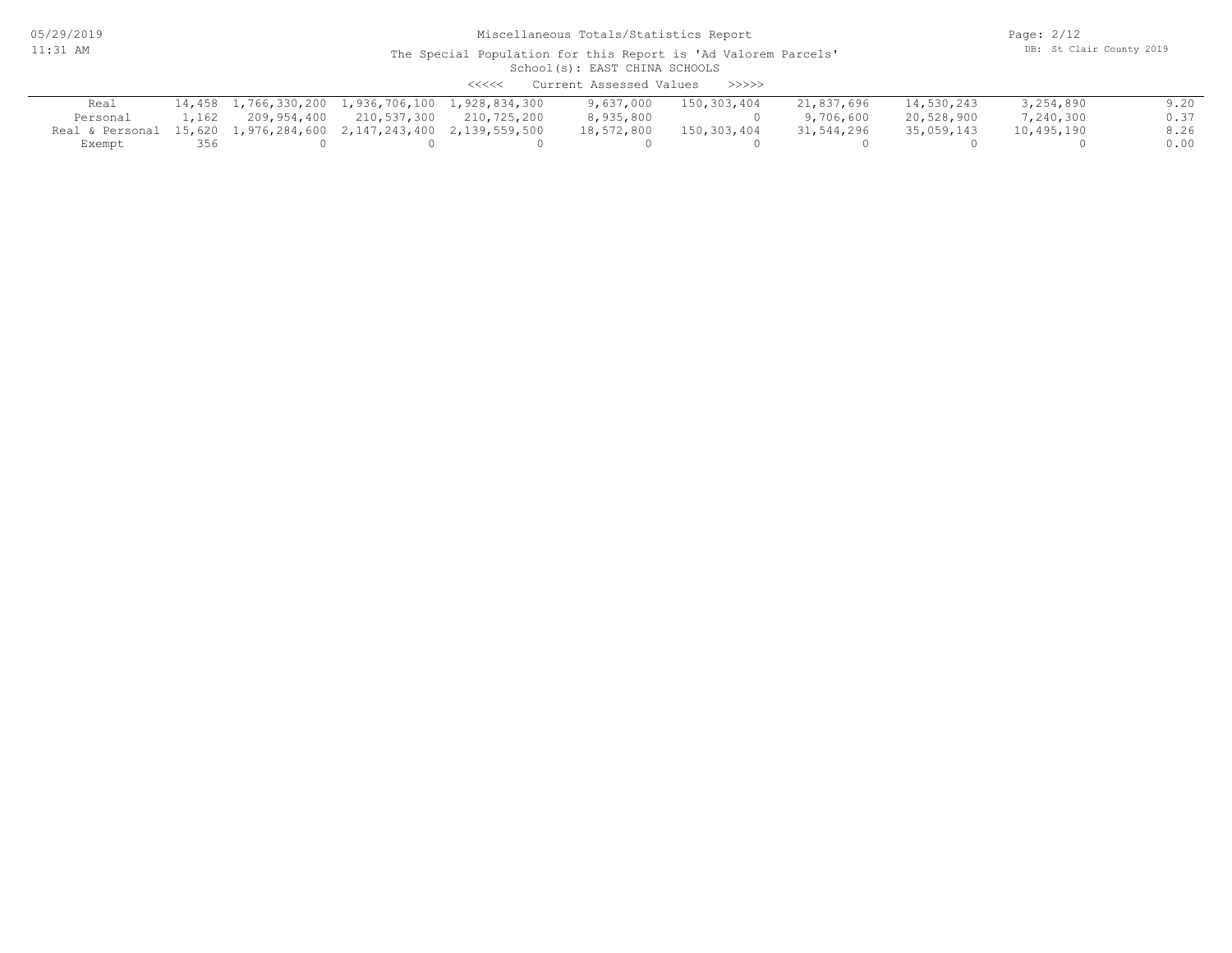05/29/2019 11:31 AM

## Miscellaneous Totals/Statistics Report

Page: 2/12 DB: St Clair County 2019

| Current Assessed Values<br><<<<<br>>>>>>                         |       |             |             |                                                  |            |             |            |            |            |      |
|------------------------------------------------------------------|-------|-------------|-------------|--------------------------------------------------|------------|-------------|------------|------------|------------|------|
| Real                                                             |       |             |             | 14,458 1,766,330,200 1,936,706,100 1,928,834,300 | 9,637,000  | 150,303,404 | 21,837,696 | 14,530,243 | 3,254,890  | 9.20 |
| Personal                                                         | 1,162 | 209,954,400 | 210,537,300 | 210,725,200                                      | 8,935,800  |             | 9,706,600  | 20,528,900 | 7,240,300  | 0.37 |
| Real & Personal 15,620 1,976,284,600 2,147,243,400 2,139,559,500 |       |             |             |                                                  | 18,572,800 | 150,303,404 | 31,544,296 | 35,059,143 | 10,495,190 | 8.26 |
| Exempt                                                           | 356   |             |             |                                                  |            |             |            |            |            | 0.00 |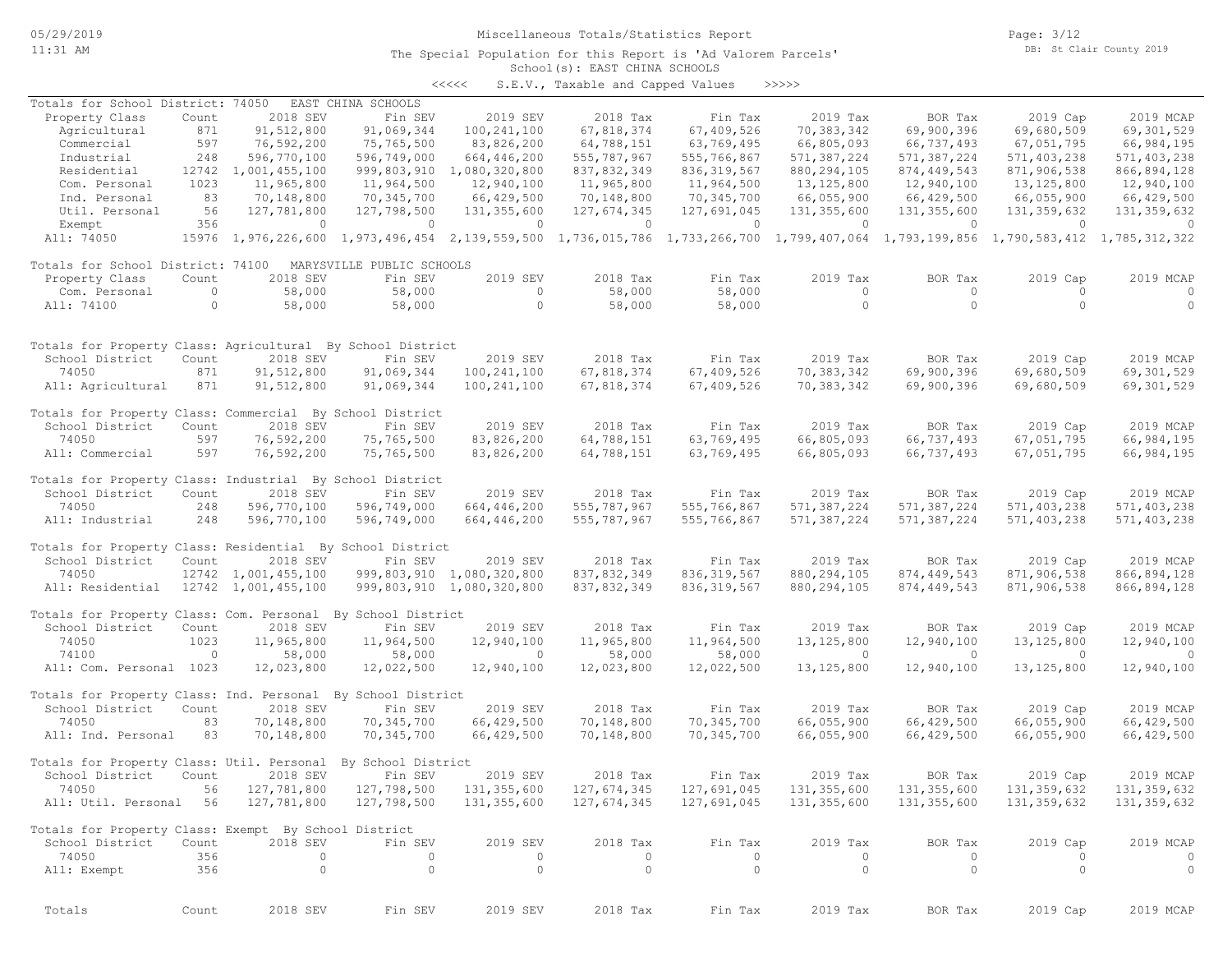05/29/2019

### 11:31 AM

Miscellaneous Totals/Statistics Report

#### School(s): EAST CHINA SCHOOLS The Special Population for this Report is 'Ad Valorem Parcels'

<<<<< S.E.V., Taxable and Capped Values >>>>>

| Totals for School District: 74050                                                                                    |                |                     | EAST CHINA SCHOOLS        |                                                                                                                                     |               |                |                |                                                                                                                                                                                                                                                                                                                                    |                |                |
|----------------------------------------------------------------------------------------------------------------------|----------------|---------------------|---------------------------|-------------------------------------------------------------------------------------------------------------------------------------|---------------|----------------|----------------|------------------------------------------------------------------------------------------------------------------------------------------------------------------------------------------------------------------------------------------------------------------------------------------------------------------------------------|----------------|----------------|
| Property Class                                                                                                       | Count          | 2018 SEV            | Fin SEV                   | 2019 SEV                                                                                                                            | 2018 Tax      | Fin Tax        | 2019 Tax       | BOR Tax                                                                                                                                                                                                                                                                                                                            | 2019 Cap       | 2019 MCAP      |
| Agricultural                                                                                                         | 871            | 91,512,800          | 91,069,344                | 100, 241, 100                                                                                                                       | 67,818,374    | 67,409,526     | 70,383,342     | 69,900,396                                                                                                                                                                                                                                                                                                                         | 69,680,509     | 69,301,529     |
| Commercial                                                                                                           | 597            | 76,592,200          | 75,765,500                | 83,826,200                                                                                                                          | 64,788,151    | 63,769,495     | 66,805,093     | 66,737,493                                                                                                                                                                                                                                                                                                                         | 67,051,795     | 66,984,195     |
| Industrial                                                                                                           | 248            | 596,770,100         | 596,749,000               | 664,446,200                                                                                                                         | 555,787,967   | 555,766,867    | 571,387,224    | 571,387,224                                                                                                                                                                                                                                                                                                                        | 571,403,238    | 571,403,238    |
| Residential                                                                                                          | 12742          | 1,001,455,100       | 999,803,910               | 1,080,320,800                                                                                                                       | 837,832,349   | 836, 319, 567  | 880, 294, 105  | 874, 449, 543                                                                                                                                                                                                                                                                                                                      | 871,906,538    | 866,894,128    |
| Com. Personal                                                                                                        | 1023           | 11,965,800          | 11,964,500                | 12,940,100                                                                                                                          | 11,965,800    | 11,964,500     | 13, 125, 800   | 12,940,100                                                                                                                                                                                                                                                                                                                         | 13,125,800     | 12,940,100     |
| Ind. Personal                                                                                                        | 83             | 70,148,800          | 70,345,700                | 66,429,500                                                                                                                          | 70,148,800    | 70,345,700     | 66,055,900     | 66,429,500                                                                                                                                                                                                                                                                                                                         | 66,055,900     | 66,429,500     |
| Util. Personal                                                                                                       | 56             | 127,781,800         | 127,798,500               | 131,355,600                                                                                                                         | 127,674,345   | 127,691,045    | 131,355,600    | 131,355,600                                                                                                                                                                                                                                                                                                                        | 131,359,632    | 131, 359, 632  |
| Exempt                                                                                                               | 356            | $\overline{0}$      | $\overline{0}$            | $\sim$ 0 $\sim$ 0 $\sim$ 0 $\sim$                                                                                                   | $\sim$ 0      | $\overline{0}$ | $\sim$ 0       | $\overline{a}$ and $\overline{a}$ and $\overline{a}$ and $\overline{a}$ and $\overline{a}$ and $\overline{a}$ and $\overline{a}$ and $\overline{a}$ and $\overline{a}$ and $\overline{a}$ and $\overline{a}$ and $\overline{a}$ and $\overline{a}$ and $\overline{a}$ and $\overline{a}$ and $\overline{a}$ and $\overline{a}$ and | $\overline{0}$ | $\overline{0}$ |
| All: 74050                                                                                                           |                |                     |                           | 15976 1,976,226,600 1,973,496,454 2,139,559,500 1,736,015,786 1,733,266,700 1,799,407,064 1,793,199,856 1,790,583,412 1,785,312,322 |               |                |                |                                                                                                                                                                                                                                                                                                                                    |                |                |
| Totals for School District: 74100                                                                                    |                |                     | MARYSVILLE PUBLIC SCHOOLS |                                                                                                                                     |               |                |                |                                                                                                                                                                                                                                                                                                                                    |                |                |
| Property Class                                                                                                       | Count          | 2018 SEV            | Fin SEV                   | 2019 SEV                                                                                                                            | 2018 Tax      | Fin Tax        | 2019 Tax       | BOR Tax                                                                                                                                                                                                                                                                                                                            | 2019 Cap       | 2019 MCAP      |
| Com. Personal                                                                                                        | $\overline{0}$ | 58,000              | 58,000                    | $\circ$                                                                                                                             | 58,000        | 58,000         | $\circ$        | $\circ$                                                                                                                                                                                                                                                                                                                            | $\Omega$       | $\circ$        |
| All: 74100                                                                                                           | $\circ$        | 58,000              | 58,000                    | $\circ$                                                                                                                             | 58,000        | 58,000         | $\overline{0}$ | $\circ$                                                                                                                                                                                                                                                                                                                            | $\circ$        | $\circ$        |
|                                                                                                                      |                |                     |                           |                                                                                                                                     |               |                |                |                                                                                                                                                                                                                                                                                                                                    |                |                |
| Totals for Property Class: Agricultural By School District                                                           |                |                     |                           |                                                                                                                                     |               |                |                |                                                                                                                                                                                                                                                                                                                                    |                |                |
| School District                                                                                                      | Count          | 2018 SEV            | Fin SEV                   | 2019 SEV                                                                                                                            | 2018 Tax      | Fin Tax        | 2019 Tax       | BOR Tax                                                                                                                                                                                                                                                                                                                            | 2019 Cap       | 2019 MCAP      |
| 74050                                                                                                                | 871            | 91,512,800          | 91,069,344                | 100, 241, 100                                                                                                                       | 67,818,374    | 67,409,526     | 70,383,342     | 69,900,396                                                                                                                                                                                                                                                                                                                         | 69,680,509     | 69,301,529     |
| All: Agricultural                                                                                                    | 871            | 91,512,800          | 91,069,344                | 100,241,100                                                                                                                         | 67,818,374    | 67,409,526     | 70,383,342     | 69,900,396                                                                                                                                                                                                                                                                                                                         | 69,680,509     | 69,301,529     |
| Totals for Property Class: Commercial By School District                                                             |                |                     |                           |                                                                                                                                     |               |                |                |                                                                                                                                                                                                                                                                                                                                    |                |                |
| School District                                                                                                      | Count          | 2018 SEV            | Fin SEV                   | 2019 SEV                                                                                                                            | 2018 Tax      | Fin Tax        | 2019 Tax       | BOR Tax                                                                                                                                                                                                                                                                                                                            | 2019 Cap       | 2019 MCAP      |
| 74050                                                                                                                | 597            | 76,592,200          | 75,765,500                | 83,826,200                                                                                                                          | 64,788,151    | 63,769,495     | 66,805,093     | 66,737,493                                                                                                                                                                                                                                                                                                                         | 67,051,795     | 66,984,195     |
| All: Commercial                                                                                                      | 597            | 76,592,200          | 75,765,500                | 83,826,200                                                                                                                          | 64,788,151    | 63,769,495     | 66,805,093     | 66,737,493                                                                                                                                                                                                                                                                                                                         | 67,051,795     | 66,984,195     |
| Totals for Property Class: Industrial By School District                                                             |                |                     |                           |                                                                                                                                     |               |                |                |                                                                                                                                                                                                                                                                                                                                    |                |                |
| School District                                                                                                      | Count          | 2018 SEV            | Fin SEV                   | 2019 SEV                                                                                                                            | 2018 Tax      | Fin Tax        | 2019 Tax       | BOR Tax                                                                                                                                                                                                                                                                                                                            | 2019 Cap       | 2019 MCAP      |
| 74050                                                                                                                | 248            | 596,770,100         | 596,749,000               | 664, 446, 200                                                                                                                       | 555,787,967   | 555,766,867    | 571,387,224    | 571,387,224                                                                                                                                                                                                                                                                                                                        | 571,403,238    | 571,403,238    |
| All: Industrial                                                                                                      | 248            | 596,770,100         | 596,749,000               | 664, 446, 200                                                                                                                       | 555, 787, 967 | 555,766,867    | 571,387,224    | 571,387,224                                                                                                                                                                                                                                                                                                                        | 571,403,238    | 571,403,238    |
| Totals for Property Class: Residential By School District                                                            |                |                     |                           |                                                                                                                                     |               |                |                |                                                                                                                                                                                                                                                                                                                                    |                |                |
| School District                                                                                                      | Count          | 2018 SEV            | Fin SEV                   | 2019 SEV                                                                                                                            | 2018 Tax      | Fin Tax        | 2019 Tax       | BOR Tax                                                                                                                                                                                                                                                                                                                            | 2019 Cap       | 2019 MCAP      |
| 74050                                                                                                                |                | 12742 1,001,455,100 | 999,803,910               | 1,080,320,800                                                                                                                       | 837, 832, 349 | 836, 319, 567  | 880, 294, 105  | 874, 449, 543                                                                                                                                                                                                                                                                                                                      | 871,906,538    | 866,894,128    |
| All: Residential                                                                                                     |                | 12742 1,001,455,100 |                           | 999,803,910 1,080,320,800                                                                                                           | 837,832,349   | 836, 319, 567  | 880, 294, 105  | 874, 449, 543                                                                                                                                                                                                                                                                                                                      | 871,906,538    | 866,894,128    |
| Totals for Property Class: Com. Personal By School District                                                          |                |                     |                           |                                                                                                                                     |               |                |                |                                                                                                                                                                                                                                                                                                                                    |                |                |
| School District                                                                                                      | Count          | 2018 SEV            | Fin SEV                   | 2019 SEV                                                                                                                            | 2018 Tax      | Fin Tax        | 2019 Tax       | BOR Tax                                                                                                                                                                                                                                                                                                                            | 2019 Cap       | 2019 MCAP      |
| 74050                                                                                                                | 1023           | 11,965,800          | 11,964,500                | 12,940,100                                                                                                                          | 11,965,800    | 11,964,500     | 13, 125, 800   | 12,940,100                                                                                                                                                                                                                                                                                                                         | 13, 125, 800   | 12,940,100     |
| 74100                                                                                                                | $\overline{0}$ | 58,000              | 58,000                    | $\overline{0}$                                                                                                                      | 58,000        | 58,000         | $\overline{0}$ | $\overline{0}$                                                                                                                                                                                                                                                                                                                     | $\bigcirc$     | $\overline{0}$ |
| All: Com. Personal 1023                                                                                              |                | 12,023,800          | 12,022,500                | 12,940,100                                                                                                                          | 12,023,800    | 12,022,500     | 13, 125, 800   | 12,940,100                                                                                                                                                                                                                                                                                                                         | 13, 125, 800   | 12,940,100     |
| Totals for Property Class: Ind. Personal By School District                                                          |                |                     |                           |                                                                                                                                     |               |                |                |                                                                                                                                                                                                                                                                                                                                    |                |                |
| School District                                                                                                      | Count          | 2018 SEV            | Fin SEV                   | 2019 SEV                                                                                                                            | 2018 Tax      | Fin Tax        | 2019 Tax       | BOR Tax                                                                                                                                                                                                                                                                                                                            | 2019 Cap       | 2019 MCAP      |
| 74050                                                                                                                | 83             | 70,148,800          | 70,345,700                | 66,429,500                                                                                                                          | 70,148,800    | 70,345,700     | 66,055,900     | 66,429,500                                                                                                                                                                                                                                                                                                                         | 66,055,900     | 66,429,500     |
| All: Ind. Personal                                                                                                   | 83             | 70,148,800          | 70,345,700                | 66,429,500                                                                                                                          | 70,148,800    | 70,345,700     | 66,055,900     | 66,429,500                                                                                                                                                                                                                                                                                                                         | 66,055,900     | 66,429,500     |
| Totals for Property Class: Util. Personal                                                                            |                |                     | By School District        |                                                                                                                                     |               |                |                |                                                                                                                                                                                                                                                                                                                                    |                |                |
| School District                                                                                                      | Count          | 2018 SEV            | Fin SEV                   | 2019 SEV                                                                                                                            | 2018 Tax      | Fin Tax        | 2019 Tax       | BOR Tax                                                                                                                                                                                                                                                                                                                            | 2019 Cap       | 2019 MCAP      |
| 74050 56 127,781,800 127,798,500 131,355,600 127,674,345 127,691,045 131,355,600 131,355,600 131,359,632 131,359,632 |                |                     |                           |                                                                                                                                     |               |                |                |                                                                                                                                                                                                                                                                                                                                    |                |                |
| All: Util. Personal 56 127,781,800                                                                                   |                |                     | 127,798,500               | 131,355,600                                                                                                                         | 127,674,345   | 127,691,045    | 131,355,600    | 131,355,600                                                                                                                                                                                                                                                                                                                        | 131,359,632    | 131,359,632    |
| Totals for Property Class: Exempt By School District                                                                 |                |                     |                           |                                                                                                                                     |               |                |                |                                                                                                                                                                                                                                                                                                                                    |                |                |
| School District                                                                                                      | Count          | 2018 SEV            | Fin SEV                   | 2019 SEV                                                                                                                            | 2018 Tax      | Fin Tax        | 2019 Tax       | BOR Tax                                                                                                                                                                                                                                                                                                                            | 2019 Cap       | 2019 MCAP      |
| 74050                                                                                                                | 356            | $\overline{0}$      | $\circ$                   | $\circ$                                                                                                                             | $\circ$       | $\circ$        | $\circ$        | $\circ$                                                                                                                                                                                                                                                                                                                            | $\Omega$       | $\circ$        |
| All: Exempt                                                                                                          | 356            | $\overline{0}$      | $\circ$                   | $\circ$                                                                                                                             | $\circ$       | $\circ$        | $\circ$        | $\circ$                                                                                                                                                                                                                                                                                                                            | $\overline{0}$ | $\overline{0}$ |
|                                                                                                                      |                |                     |                           |                                                                                                                                     |               |                |                |                                                                                                                                                                                                                                                                                                                                    |                |                |
| Totals                                                                                                               | Count          | 2018 SEV            | Fin SEV                   | 2019 SEV                                                                                                                            | 2018 Tax      | Fin Tax        | 2019 Tax       | BOR Tax                                                                                                                                                                                                                                                                                                                            | 2019 Cap       | 2019 MCAP      |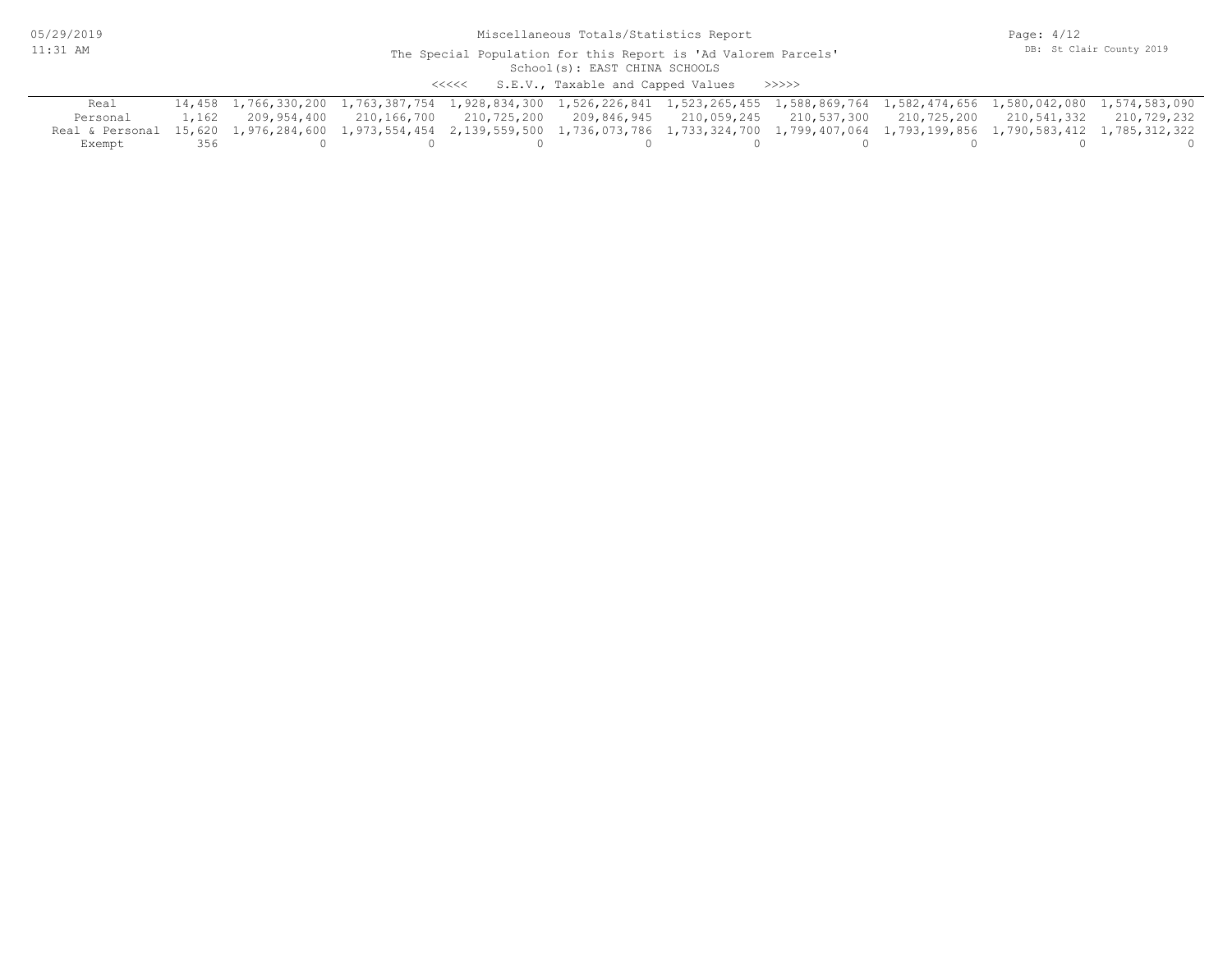05/29/2019 11:31 AM

#### School(s): EAST CHINA SCHOOLS The Special Population for this Report is 'Ad Valorem Parcels'

<<<<< S.E.V., Taxable and Capped Values >>>>>

| Real                                                                                                                                                 |     | 14,458 1,766,330,200 1,763,387,754 1,928,834,300 1,526,226,841 1,523,265,455 1,588,869,764 1,582,474,656 1,580,042,080 1,574,583,090 |  |  |  |  |
|------------------------------------------------------------------------------------------------------------------------------------------------------|-----|--------------------------------------------------------------------------------------------------------------------------------------|--|--|--|--|
| Personal                                                                                                                                             |     | 1,162 209,954,400 210,166,700 210,725,200 209,846,945 210,059,245 210,537,300 210,725,200 210,541,332 210,729,232                    |  |  |  |  |
| Real & Personal 15,620 1,976,284,600 1,973,554,454 2,139,559,500 1,736,073,786 1,733,324,700 1,799,407,064 1,793,199,856 1,790,583,412 1,785,312,322 |     |                                                                                                                                      |  |  |  |  |
| Exempt                                                                                                                                               | 356 |                                                                                                                                      |  |  |  |  |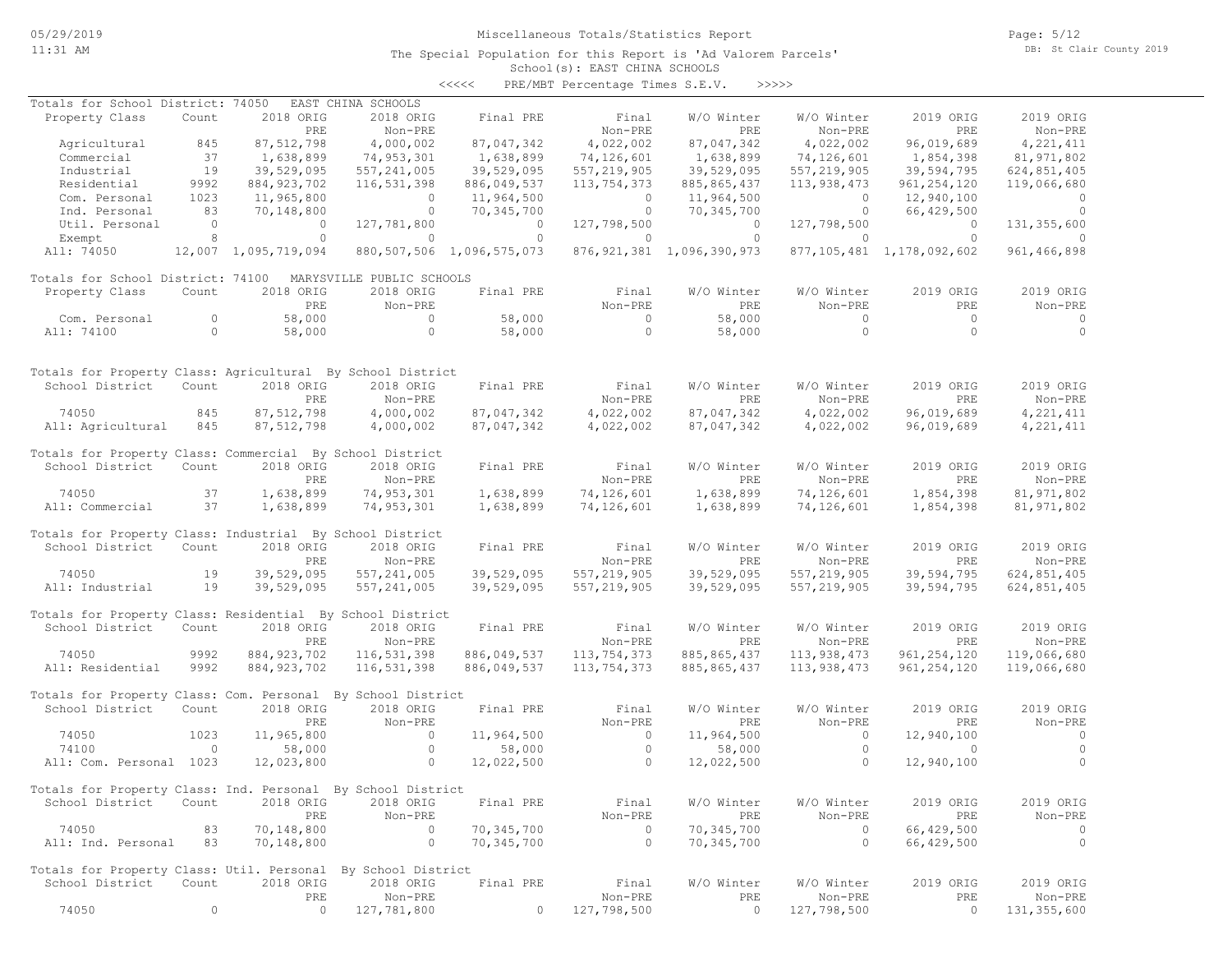Page: 5/12 DB: St Clair County 2019

#### School(s): EAST CHINA SCHOOLS The Special Population for this Report is 'Ad Valorem Parcels'

<<<<< PRE/MBT Percentage Times S.E.V. >>>>>

| Totals for School District: 74050                            |                          |                      | EAST CHINA SCHOOLS        |                                |               |                                |               |                                |               |
|--------------------------------------------------------------|--------------------------|----------------------|---------------------------|--------------------------------|---------------|--------------------------------|---------------|--------------------------------|---------------|
| Property Class                                               | Count                    | 2018 ORIG            | 2018 ORIG                 | Final PRE                      | Final         | W/O Winter                     | W/O Winter    | 2019 ORIG                      | 2019 ORIG     |
|                                                              |                          | PRE                  | Non-PRE                   |                                | Non-PRE       | PRE                            | Non-PRE       | PRE                            | Non-PRE       |
| Agricultural                                                 | 845                      | 87, 512, 798         | 4,000,002                 | 87,047,342                     | 4,022,002     | 87,047,342                     | 4,022,002     | 96,019,689                     | 4,221,411     |
| Commercial                                                   | 37                       | 1,638,899            | 74,953,301                | 1,638,899                      | 74,126,601    | 1,638,899                      | 74,126,601    | 1,854,398                      | 81,971,802    |
| Industrial                                                   | 19                       | 39,529,095           | 557, 241, 005             | 39,529,095                     | 557, 219, 905 | 39,529,095                     | 557, 219, 905 | 39,594,795                     | 624,851,405   |
| Residential                                                  | 9992                     | 884, 923, 702        | 116,531,398               | 886,049,537                    | 113,754,373   | 885, 865, 437                  | 113,938,473   | 961, 254, 120                  | 119,066,680   |
| Com. Personal                                                | 1023                     | 11,965,800           | $\circ$                   | 11,964,500                     | $\circ$       | 11,964,500                     | $\circ$       | 12,940,100                     | $\circ$       |
| Ind. Personal                                                | 83                       | 70,148,800           | $\circ$                   | 70,345,700                     | $\circ$       | 70,345,700                     | $\circ$       | 66,429,500                     | $\circ$       |
| Util. Personal                                               | $\overline{\phantom{0}}$ | $\circ$              | 127,781,800               | $\Omega$                       | 127,798,500   | $\circ$                        | 127,798,500   | $\circ$                        | 131,355,600   |
| Exempt                                                       | 8                        | $\circ$              | $\circ$                   | $\circ$                        | $\circ$       | $\circ$                        | $\circ$       | $\circ$                        | $\circ$       |
| All: 74050                                                   |                          | 12,007 1,095,719,094 |                           | 880, 507, 506 1, 096, 575, 073 |               | 876, 921, 381 1, 096, 390, 973 |               | 877, 105, 481 1, 178, 092, 602 | 961, 466, 898 |
| Totals for School District: 74100                            |                          |                      | MARYSVILLE PUBLIC SCHOOLS |                                |               |                                |               |                                |               |
| Property Class                                               | Count                    | 2018 ORIG            | 2018 ORIG                 | Final PRE                      | Final         | W/O Winter                     | W/O Winter    | 2019 ORIG                      | 2019 ORIG     |
|                                                              |                          | PRE                  | Non-PRE                   |                                | Non-PRE       | PRE                            | Non-PRE       | PRE                            | Non-PRE       |
| Com. Personal                                                | $\circ$                  | 58,000               | $\circ$                   | 58,000                         | $\circ$       | 58,000                         | $\circ$       | $\circ$                        | $\circ$       |
| All: 74100                                                   | $\circ$                  | 58,000               | $\circ$                   | 58,000                         | $\circ$       | 58,000                         | $\circ$       | $\Omega$                       | $\circ$       |
|                                                              |                          |                      |                           |                                |               |                                |               |                                |               |
| Totals for Property Class: Agricultural By School District   |                          |                      |                           |                                |               |                                |               |                                |               |
| School District                                              | Count                    | 2018 ORIG            | 2018 ORIG                 | Final PRE                      | Final         | W/O Winter                     | W/O Winter    | 2019 ORIG                      | 2019 ORIG     |
|                                                              |                          | PRE                  | Non-PRE                   |                                | Non-PRE       | PRE                            | Non-PRE       | <b>PRE</b>                     | Non-PRE       |
| 74050                                                        | 845                      | 87,512,798           | 4,000,002                 | 87,047,342                     | 4,022,002     | 87,047,342                     | 4,022,002     | 96,019,689                     | 4,221,411     |
| All: Agricultural                                            | 845                      | 87, 512, 798         | 4,000,002                 | 87,047,342                     | 4,022,002     | 87,047,342                     | 4,022,002     | 96,019,689                     | 4, 221, 411   |
| Totals for Property Class: Commercial By School District     |                          |                      |                           |                                |               |                                |               |                                |               |
| School District                                              | Count                    | 2018 ORIG            | 2018 ORIG                 | Final PRE                      | Final         | W/O Winter                     | W/O Winter    | 2019 ORIG                      | 2019 ORIG     |
|                                                              |                          | PRE                  | Non-PRE                   |                                | Non-PRE       | PRE                            | Non-PRE       | PRE                            | Non-PRE       |
| 74050                                                        | 37                       | 1,638,899            | 74,953,301                | 1,638,899                      | 74,126,601    | 1,638,899                      | 74,126,601    | 1,854,398                      | 81, 971, 802  |
| All: Commercial                                              | 37                       | 1,638,899            | 74,953,301                | 1,638,899                      | 74,126,601    | 1,638,899                      | 74,126,601    | 1,854,398                      | 81, 971, 802  |
|                                                              |                          |                      |                           |                                |               |                                |               |                                |               |
| Totals for Property Class: Industrial By School District     |                          | 2018 ORIG            |                           |                                |               |                                |               |                                |               |
| School District                                              | Count                    |                      | 2018 ORIG                 | Final PRE                      | Final         | W/O Winter                     | W/O Winter    | 2019 ORIG                      | 2019 ORIG     |
|                                                              |                          | PRE                  | Non-PRE                   |                                | Non-PRE       | PRE                            | Non-PRE       | PRE                            | Non-PRE       |
| 74050                                                        | 19                       | 39,529,095           | 557, 241, 005             | 39,529,095                     | 557, 219, 905 | 39,529,095                     | 557, 219, 905 | 39,594,795                     | 624,851,405   |
| All: Industrial                                              | 19                       | 39,529,095           | 557, 241, 005             | 39,529,095                     | 557, 219, 905 | 39,529,095                     | 557, 219, 905 | 39,594,795                     | 624,851,405   |
| Totals for Property Class: Residential By School District    |                          |                      |                           |                                |               |                                |               |                                |               |
| School District                                              | Count                    | 2018 ORIG            | 2018 ORIG                 | Final PRE                      | Final         | W/O Winter                     | W/O Winter    | 2019 ORIG                      | 2019 ORIG     |
|                                                              |                          | PRE                  | Non-PRE                   |                                | Non-PRE       | PRE                            | Non-PRE       | <b>PRE</b>                     | Non-PRE       |
| 74050                                                        | 9992                     | 884, 923, 702        | 116,531,398               | 886,049,537                    | 113,754,373   | 885, 865, 437                  | 113,938,473   | 961, 254, 120                  | 119,066,680   |
| All: Residential                                             | 9992                     | 884, 923, 702        | 116,531,398               | 886,049,537                    | 113,754,373   | 885, 865, 437                  | 113,938,473   | 961, 254, 120                  | 119,066,680   |
| Totals for Property Class: Com. Personal By School District  |                          |                      |                           |                                |               |                                |               |                                |               |
| School District                                              | Count                    | 2018 ORIG            | 2018 ORIG                 | Final PRE                      | Final         | W/O Winter                     | W/O Winter    | 2019 ORIG                      | 2019 ORIG     |
|                                                              |                          | PRE                  | Non-PRE                   |                                | Non-PRE       | PRE                            | Non-PRE       | PRE                            | Non-PRE       |
| 74050                                                        | 1023                     | 11,965,800           | $\circ$                   | 11,964,500                     | $\circ$       | 11,964,500                     | $\circ$       | 12,940,100                     | $\circ$       |
| 74100                                                        | $\circ$                  | 58,000               | $\circ$                   | 58,000                         | $\circ$       | 58,000                         | $\circ$       | $\Omega$                       | $\circ$       |
| All: Com. Personal 1023                                      |                          | 12,023,800           | $\Omega$                  | 12,022,500                     | $\Omega$      | 12,022,500                     | $\Omega$      | 12,940,100                     | $\circ$       |
|                                                              |                          |                      |                           |                                |               |                                |               |                                |               |
| Totals for Property Class: Ind. Personal By School District  |                          |                      |                           |                                |               |                                |               |                                |               |
| School District                                              | Count                    | 2018 ORIG            | 2018 ORIG                 | Final PRE                      | Final         | W/O Winter                     | W/O Winter    | 2019 ORIG                      | 2019 ORIG     |
|                                                              |                          | PRE                  | Non-PRE                   |                                | $Non-PRE$     | PRE                            | Non-PRE       | PRE                            | Non-PRE       |
| 74050                                                        | 83                       | 70,148,800           | 0                         | 70,345,700                     | $\circ$       | 70,345,700                     | $\circ$       | 66,429,500                     | 0             |
| All: Ind. Personal                                           | 83                       | 70,148,800           | $\circ$                   | 70,345,700                     | $\circ$       | 70,345,700                     | $\circ$       | 66,429,500                     | $\circ$       |
| Totals for Property Class: Util. Personal By School District |                          |                      |                           |                                |               |                                |               |                                |               |
| School District                                              | Count                    | 2018 ORIG            | 2018 ORIG                 | Final PRE                      | Final         | W/O Winter                     | W/O Winter    | 2019 ORIG                      | 2019 ORIG     |
|                                                              |                          | PRE                  | Non-PRE                   |                                | Non-PRE       | PRE                            | Non-PRE       | PRE                            | Non-PRE       |
| 74050                                                        | $\circ$                  | $\mathbf{0}$         | 127,781,800               | $\Omega$                       | 127,798,500   | $\circ$                        | 127,798,500   | $\circ$                        | 131, 355, 600 |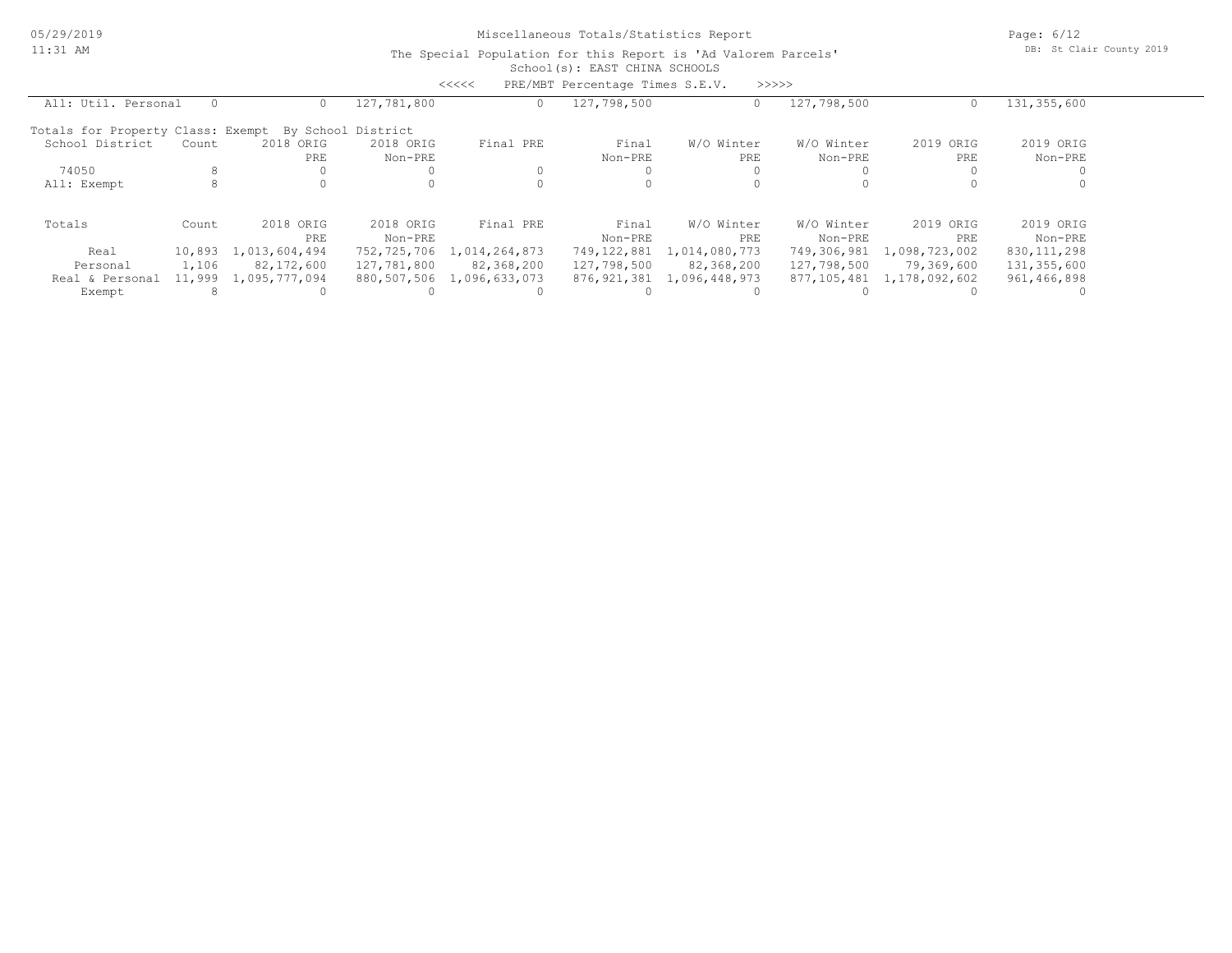05/29/2019 11:31 AM

## Miscellaneous Totals/Statistics Report

Page: 6/12 DB: St Clair County 2019

|                                   |          |               |                    | <<<<          | PRE/MBT Percentage Times S.E.V. |               | >>>>>       |               |               |  |
|-----------------------------------|----------|---------------|--------------------|---------------|---------------------------------|---------------|-------------|---------------|---------------|--|
| All: Util. Personal               | $\Omega$ | 0.            | 127,781,800        | 0             | 127,798,500                     | 0             | 127,798,500 | $\circ$       | 131,355,600   |  |
| Totals for Property Class: Exempt |          |               | By School District |               |                                 |               |             |               |               |  |
| School District                   | Count    | 2018 ORIG     | 2018 ORIG          | Final PRE     | Final                           | W/O Winter    | W/O Winter  | 2019 ORIG     | 2019 ORIG     |  |
|                                   |          | PRE           | Non-PRE            |               | Non-PRE                         | PRE           | Non-PRE     | PRE           | Non-PRE       |  |
| 74050                             | 8        |               | $\Omega$           |               |                                 |               |             |               |               |  |
| All: Exempt                       | 8        |               | 0                  |               |                                 |               |             |               |               |  |
| Totals                            | Count    | 2018 ORIG     | 2018 ORIG          | Final PRE     | Final                           | W/O Winter    | W/O Winter  | 2019 ORIG     | 2019 ORIG     |  |
|                                   |          | PRE           | Non-PRE            |               | Non-PRE                         | PRE           | Non-PRE     | PRE           | Non-PRE       |  |
| Real                              | 10,893   | 1,013,604,494 | 752,725,706        | 1,014,264,873 | 749,122,881                     | 1,014,080,773 | 749,306,981 | 1,098,723,002 | 830, 111, 298 |  |
| Personal                          | 1,106    | 82,172,600    | 127,781,800        | 82,368,200    | 127,798,500                     | 82,368,200    | 127,798,500 | 79,369,600    | 131,355,600   |  |
| Real & Personal                   | 11,999   | 1,095,777,094 | 880,507,506        | 1,096,633,073 | 876,921,381                     | 1,096,448,973 | 877,105,481 | 1,178,092,602 | 961,466,898   |  |
| Exempt                            | 8        |               |                    |               |                                 |               |             |               |               |  |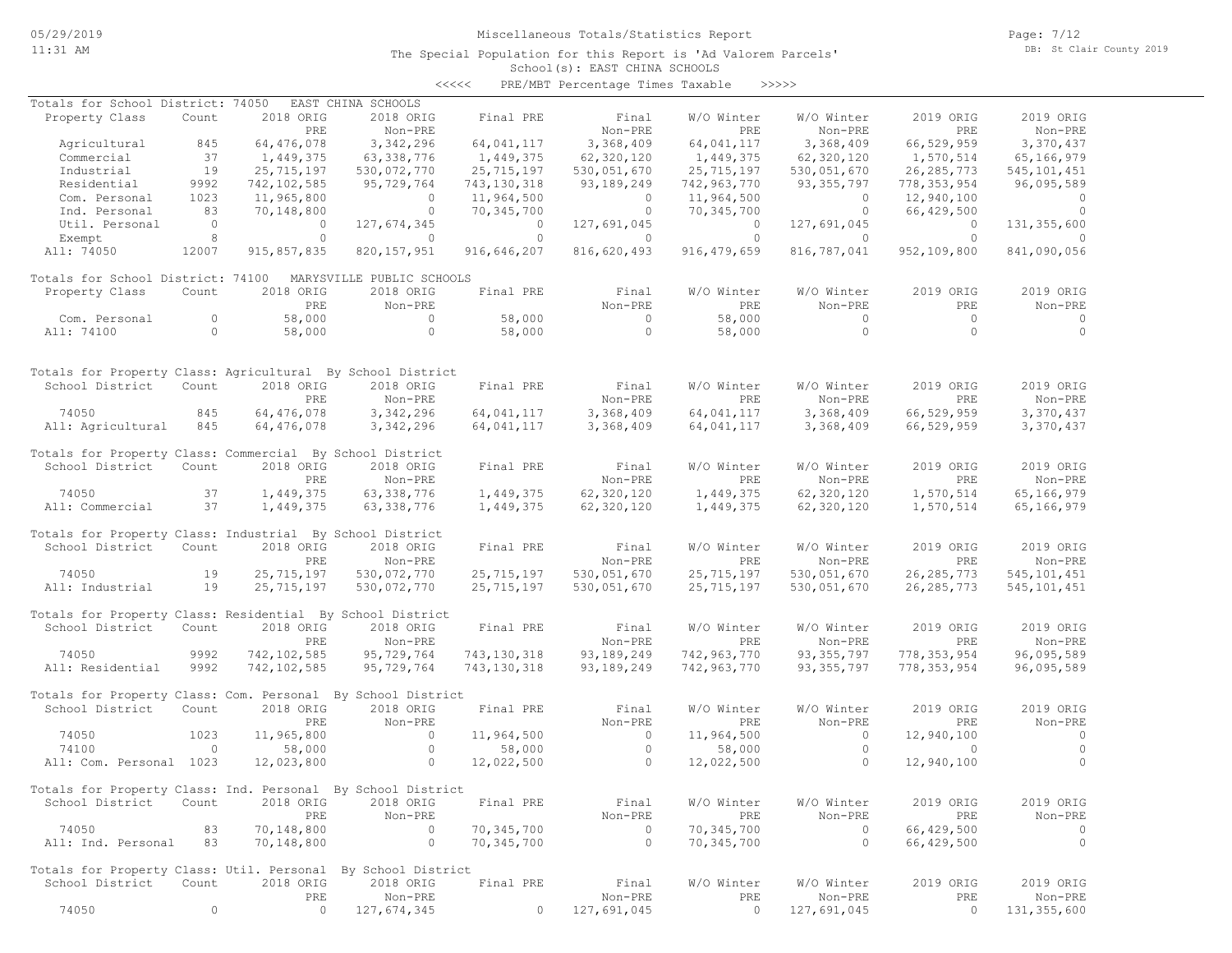Page: 7/12 DB: St Clair County 2019

| <<<< | PRE/MBT Percentage Times Taxable |  |  | >>>>> |
|------|----------------------------------|--|--|-------|
|------|----------------------------------|--|--|-------|

| Totals for School District: 74050                                              |            |                          | EAST CHINA SCHOOLS        |                       |                     |                          |                    |                       |                      |
|--------------------------------------------------------------------------------|------------|--------------------------|---------------------------|-----------------------|---------------------|--------------------------|--------------------|-----------------------|----------------------|
| Property Class                                                                 | Count      | 2018 ORIG                | 2018 ORIG                 | Final PRE             | Final               | W/O Winter               | W/O Winter         | 2019 ORIG             | 2019 ORIG            |
|                                                                                |            | PRE                      | Non-PRE                   |                       | Non-PRE             | PRE                      | Non-PRE            | PRE                   | Non-PRE              |
| Agricultural                                                                   | 845        | 64,476,078               | 3,342,296                 | 64,041,117            | 3,368,409           | 64,041,117               | 3,368,409          | 66,529,959            | 3,370,437            |
| Commercial                                                                     | 37         | 1,449,375                | 63,338,776                | 1,449,375             | 62,320,120          | 1,449,375                | 62,320,120         | 1,570,514             | 65,166,979           |
| Industrial                                                                     | 19         | 25,715,197               | 530,072,770               | 25,715,197            | 530,051,670         | 25, 715, 197             | 530,051,670        | 26, 285, 773          | 545, 101, 451        |
| Residential                                                                    | 9992       | 742, 102, 585            | 95,729,764                | 743,130,318           | 93,189,249          | 742,963,770              | 93, 355, 797       | 778, 353, 954         | 96,095,589           |
| Com. Personal<br>Ind. Personal                                                 | 1023<br>83 | 11,965,800<br>70,148,800 | $\circ$<br>$\circ$        | 11,964,500            | $\circ$<br>$\Omega$ | 11,964,500<br>70,345,700 | $\circ$<br>$\circ$ | 12,940,100            | $\Omega$<br>$\Omega$ |
| Util. Personal                                                                 | $\circ$    | $\circ$                  | 127,674,345               | 70,345,700<br>$\circ$ | 127,691,045         | $\circ$                  | 127,691,045        | 66,429,500<br>$\circ$ | 131, 355, 600        |
| Exempt                                                                         | 8          | $\circ$                  | $\circ$                   | $\circ$               | $\circ$             | $\circ$                  | $\circ$            | $\circ$               | $\Omega$             |
| All: 74050                                                                     | 12007      | 915,857,835              | 820, 157, 951             | 916,646,207           | 816,620,493         | 916, 479, 659            | 816,787,041        | 952,109,800           | 841,090,056          |
|                                                                                |            |                          |                           |                       |                     |                          |                    |                       |                      |
| Totals for School District: 74100                                              |            |                          | MARYSVILLE PUBLIC SCHOOLS |                       |                     |                          |                    |                       |                      |
| Property Class                                                                 | Count      | 2018 ORIG                | 2018 ORIG                 | Final PRE             | Final               | W/O Winter               | W/O Winter         | 2019 ORIG             | 2019 ORIG            |
|                                                                                |            | PRE                      | Non-PRE                   |                       | Non-PRE             | PRE                      | Non-PRE            | PRE                   | Non-PRE              |
| Com. Personal                                                                  | $\circ$    | 58,000                   | $\circ$                   | 58,000                | $\Omega$            | 58,000                   | $\circ$            | $\Omega$              | $\circ$              |
| All: 74100                                                                     | $\circ$    | 58,000                   | $\circ$                   | 58,000                | $\Omega$            | 58,000                   | $\circ$            | $\Omega$              | $\Omega$             |
|                                                                                |            |                          |                           |                       |                     |                          |                    |                       |                      |
|                                                                                |            |                          |                           |                       |                     |                          |                    |                       |                      |
| Totals for Property Class: Agricultural By School District                     |            |                          |                           |                       |                     |                          |                    |                       |                      |
| School District                                                                | Count      | 2018 ORIG                | 2018 ORIG                 | Final PRE             | Final               | W/O Winter               | W/O Winter         | 2019 ORIG             | 2019 ORIG            |
|                                                                                |            | PRE                      | Non-PRE                   |                       | Non-PRE             | PRE                      | Non-PRE            | PRE                   | Non-PRE              |
| 74050                                                                          | 845        | 64,476,078               | 3,342,296                 | 64,041,117            | 3,368,409           | 64,041,117               | 3,368,409          | 66,529,959            | 3,370,437            |
| All: Agricultural                                                              | 845        | 64,476,078               | 3,342,296                 | 64,041,117            | 3,368,409           | 64,041,117               | 3,368,409          | 66,529,959            | 3,370,437            |
| Totals for Property Class: Commercial By School District                       |            |                          |                           |                       |                     |                          |                    |                       |                      |
| School District                                                                | Count      | 2018 ORIG                | 2018 ORIG                 | Final PRE             | Final               | W/O Winter               | W/O Winter         | 2019 ORIG             | 2019 ORIG            |
|                                                                                |            | PRE                      | Non-PRE                   |                       | Non-PRE             | PRE                      | Non-PRE            | PRE                   | Non-PRE              |
| 74050                                                                          | 37         | 1,449,375                | 63, 338, 776              | 1,449,375             | 62,320,120          | 1,449,375                | 62,320,120         | 1,570,514             | 65,166,979           |
| All: Commercial                                                                | 37         | 1,449,375                | 63, 338, 776              | 1,449,375             | 62,320,120          | 1,449,375                | 62,320,120         | 1,570,514             | 65,166,979           |
|                                                                                |            |                          |                           |                       |                     |                          |                    |                       |                      |
| Totals for Property Class: Industrial By School District                       |            |                          |                           |                       |                     |                          |                    |                       |                      |
| School District                                                                | Count      | 2018 ORIG                | 2018 ORIG                 | Final PRE             | Final               | W/O Winter               | W/O Winter         | 2019 ORIG             | 2019 ORIG            |
|                                                                                |            | PRE                      | Non-PRE                   |                       | Non-PRE             | PRE                      | Non-PRE            | PRE                   | Non-PRE              |
| 74050                                                                          | 19         | 25, 715, 197             | 530,072,770               | 25,715,197            | 530,051,670         | 25, 715, 197             | 530,051,670        | 26, 285, 773          | 545, 101, 451        |
| All: Industrial                                                                | 19         | 25,715,197               | 530,072,770               | 25,715,197            | 530,051,670         | 25,715,197               | 530,051,670        | 26, 285, 773          | 545, 101, 451        |
|                                                                                |            |                          |                           |                       |                     |                          |                    |                       |                      |
| Totals for Property Class: Residential By School District                      |            |                          |                           |                       |                     |                          |                    |                       |                      |
| School District                                                                | Count      | 2018 ORIG                | 2018 ORIG                 | Final PRE             | Final               | W/O Winter               | W/O Winter         | 2019 ORIG             | 2019 ORIG            |
|                                                                                |            | PRE                      | Non-PRE                   |                       | Non-PRE             | PRE                      | Non-PRE            | PRE                   | Non-PRE              |
| 74050                                                                          | 9992       | 742, 102, 585            | 95,729,764                | 743, 130, 318         | 93,189,249          | 742,963,770              | 93, 355, 797       | 778, 353, 954         | 96,095,589           |
| All: Residential                                                               | 9992       | 742, 102, 585            | 95,729,764                | 743, 130, 318         | 93, 189, 249        | 742,963,770              | 93, 355, 797       | 778, 353, 954         | 96,095,589           |
|                                                                                |            |                          |                           |                       |                     |                          |                    |                       |                      |
| Totals for Property Class: Com. Personal By School District<br>School District | Count      | 2018 ORIG                | 2018 ORIG                 | Final PRE             | Final               | W/O Winter               | W/O Winter         | 2019 ORIG             | 2019 ORIG            |
|                                                                                |            | PRE                      | Non-PRE                   |                       | Non-PRE             | PRE                      | Non-PRE            | PRE                   | Non-PRE              |
| 74050                                                                          | 1023       | 11,965,800               | $\circ$                   | 11,964,500            | $\circ$             | 11,964,500               | $\circ$            | 12,940,100            | $\circ$              |
| 74100                                                                          | $\circ$    | 58,000                   | $\circ$                   | 58,000                | $\circ$             | 58,000                   | $\circ$            | $\Omega$              | $\circ$              |
| All: Com. Personal 1023                                                        |            | 12,023,800               | $\Omega$                  | 12,022,500            | $\Omega$            | 12,022,500               | $\Omega$           | 12,940,100            | $\Omega$             |
|                                                                                |            |                          |                           |                       |                     |                          |                    |                       |                      |
| Totals for Property Class: Ind. Personal By School District                    |            |                          |                           |                       |                     |                          |                    |                       |                      |
| School District Count                                                          |            | 2018 ORIG                | 2018 ORIG                 | Final PRE             | Final               | W/O Winter               | W/O Winter         | 2019 ORIG             | 2019 ORIG            |
|                                                                                |            | PRE                      | Non-PRE                   |                       | Non-PRE             | PRE                      | Non-PRE            | PRE                   | Non-PRE              |
| 74050                                                                          | 83         | 70,148,800               | $\circ$                   | 70,345,700            | $\sim$ 0            | 70, 345, 700             | $\sim$ 0           | 66,429,500            | $\sim$ 0             |
| All: Ind. Personal 83                                                          |            | 70,148,800               | $\circ$                   | 70,345,700            | $\overline{0}$      | 70,345,700               | $\circ$            | 66,429,500            | $\overline{0}$       |
|                                                                                |            |                          |                           |                       |                     |                          |                    |                       |                      |
| Totals for Property Class: Util. Personal By School District                   |            |                          |                           |                       |                     |                          |                    |                       |                      |
| School District                                                                | Count      | 2018 ORIG                | 2018 ORIG                 | Final PRE             | Final               | W/O Winter               | W/O Winter         | 2019 ORIG             | 2019 ORIG            |
|                                                                                |            | PRE                      | Non-PRE                   |                       | Non-PRE             | PRE                      | Non-PRE            | PRE                   | Non-PRE              |
| 74050                                                                          | $\circ$    | $\circ$                  | 127,674,345               | $\overline{0}$        | 127,691,045         | $\circ$                  | 127,691,045        | $\circ$               | 131,355,600          |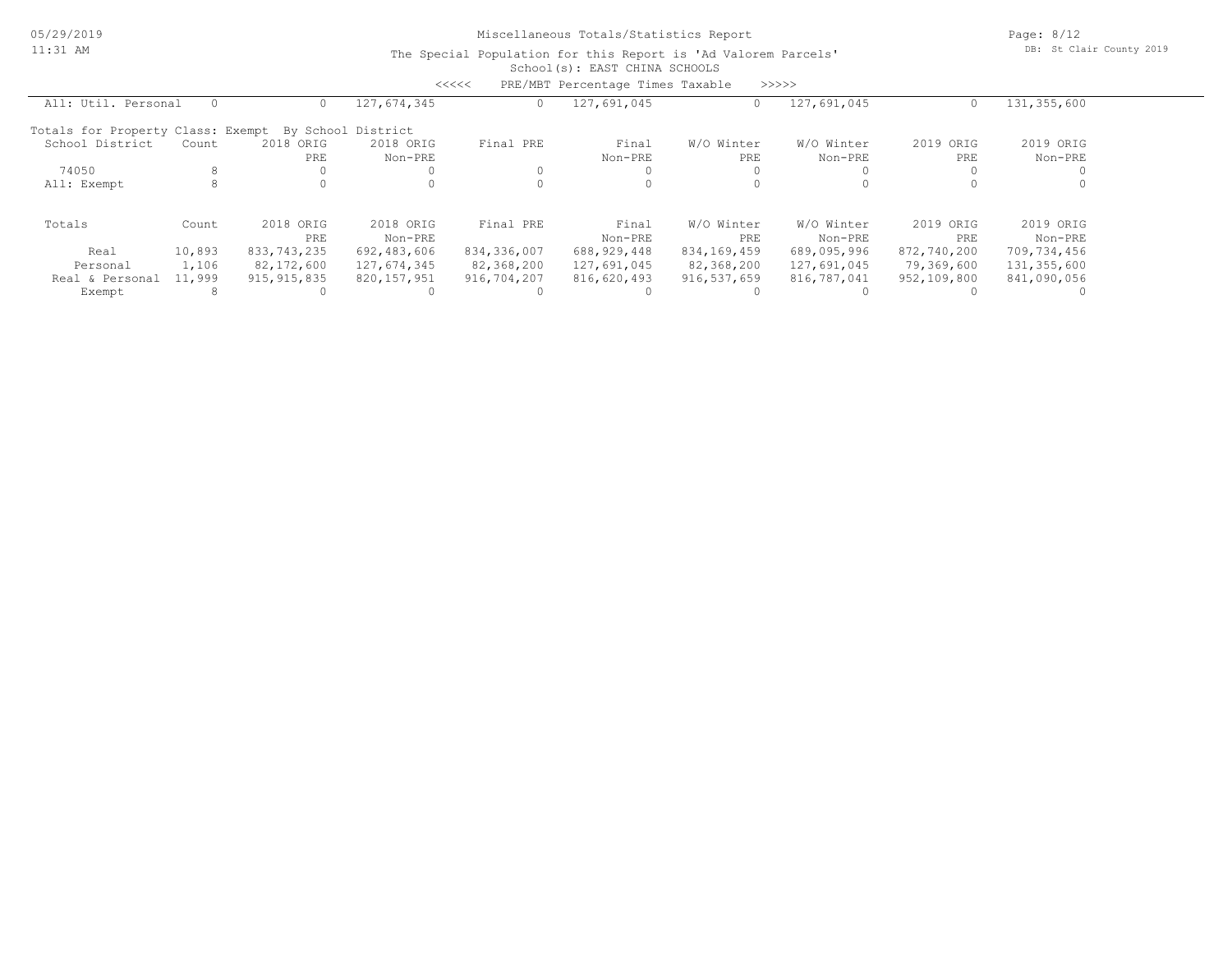|                                                                                                       |        |               |                    | <<<<        | PRE/MBT Percentage Times Taxable |             | >>>>>       |             |             |  |
|-------------------------------------------------------------------------------------------------------|--------|---------------|--------------------|-------------|----------------------------------|-------------|-------------|-------------|-------------|--|
| All: Util. Personal<br>127,674,345<br>127,691,045<br>127,691,045<br>131,355,600<br>0<br>0<br>$\Omega$ |        |               |                    |             |                                  |             |             |             |             |  |
| Totals for Property Class: Exempt                                                                     |        |               | By School District |             |                                  |             |             |             |             |  |
| School District                                                                                       | Count  | 2018 ORIG     | 2018 ORIG          | Final PRE   | Final                            | W/O Winter  | W/O Winter  | 2019 ORIG   | 2019 ORIG   |  |
|                                                                                                       |        | PRE           | Non-PRE            |             | Non-PRE                          | PRE         | Non-PRE     | PRE         | Non-PRE     |  |
| 74050                                                                                                 | 8      |               |                    |             |                                  |             |             |             |             |  |
| All: Exempt                                                                                           | 8      |               |                    |             |                                  |             |             |             |             |  |
| Totals                                                                                                | Count  | 2018 ORIG     | 2018 ORIG          | Final PRE   | Final                            | W/O Winter  | W/O Winter  | 2019 ORIG   | 2019 ORIG   |  |
|                                                                                                       |        | PRE           | Non-PRE            |             | Non-PRE                          | PRE         | Non-PRE     | PRE         | Non-PRE     |  |
| Real                                                                                                  | 10,893 | 833,743,235   | 692,483,606        | 834,336,007 | 688, 929, 448                    | 834,169,459 | 689,095,996 | 872,740,200 | 709,734,456 |  |
| Personal                                                                                              | 1,106  | 82,172,600    | 127,674,345        | 82,368,200  | 127,691,045                      | 82,368,200  | 127,691,045 | 79,369,600  | 131,355,600 |  |
| Real & Personal                                                                                       | 11,999 | 915, 915, 835 | 820,157,951        | 916,704,207 | 816,620,493                      | 916,537,659 | 816,787,041 | 952,109,800 | 841,090,056 |  |
| Exempt                                                                                                |        |               |                    |             |                                  |             |             |             |             |  |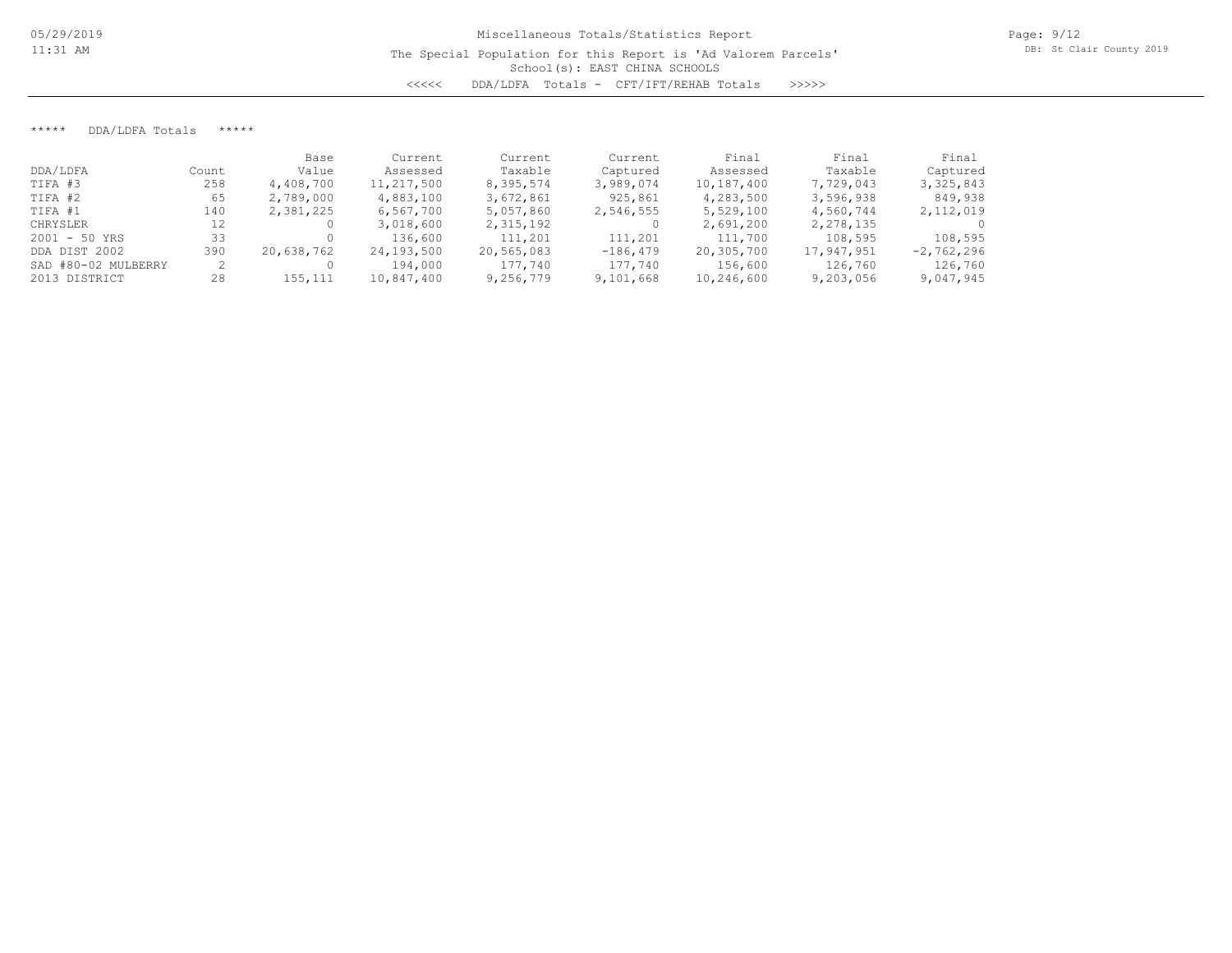\*\*\*\*\* DDA/LDFA Totals \*\*\*\*\*

|                     |       | Base       | Current    | Current    | Current    | Final      | Final      | Final        |
|---------------------|-------|------------|------------|------------|------------|------------|------------|--------------|
| DDA/LDFA            | Count | Value      | Assessed   | Taxable    | Captured   | Assessed   | Taxable    | Captured     |
| TIFA #3             | 258   | 4,408,700  | 11,217,500 | 8,395,574  | 3,989,074  | 10,187,400 | 7,729,043  | 3,325,843    |
| TIFA #2             | 65    | 2,789,000  | 4,883,100  | 3,672,861  | 925,861    | 4,283,500  | 3,596,938  | 849,938      |
| TIFA #1             | 140   | 2,381,225  | 6,567,700  | 5,057,860  | 2,546,555  | 5,529,100  | 4,560,744  | 2,112,019    |
| CHRYSLER            | 12    |            | 3,018,600  | 2,315,192  |            | 2,691,200  | 2,278,135  | $\Omega$     |
| $2001 - 50$ YRS     | 33    |            | 136,600    | 111,201    | 111,201    | 111,700    | 108,595    | 108,595      |
| DDA DIST 2002       | 390   | 20,638,762 | 24,193,500 | 20,565,083 | $-186,479$ | 20,305,700 | 17,947,951 | $-2,762,296$ |
| SAD #80-02 MULBERRY |       |            | 194,000    | 177,740    | 177,740    | 156,600    | 126,760    | 126,760      |
| 2013 DISTRICT       | 28    | 155,111    | 10,847,400 | 9,256,779  | 9,101,668  | 10,246,600 | 9,203,056  | 9,047,945    |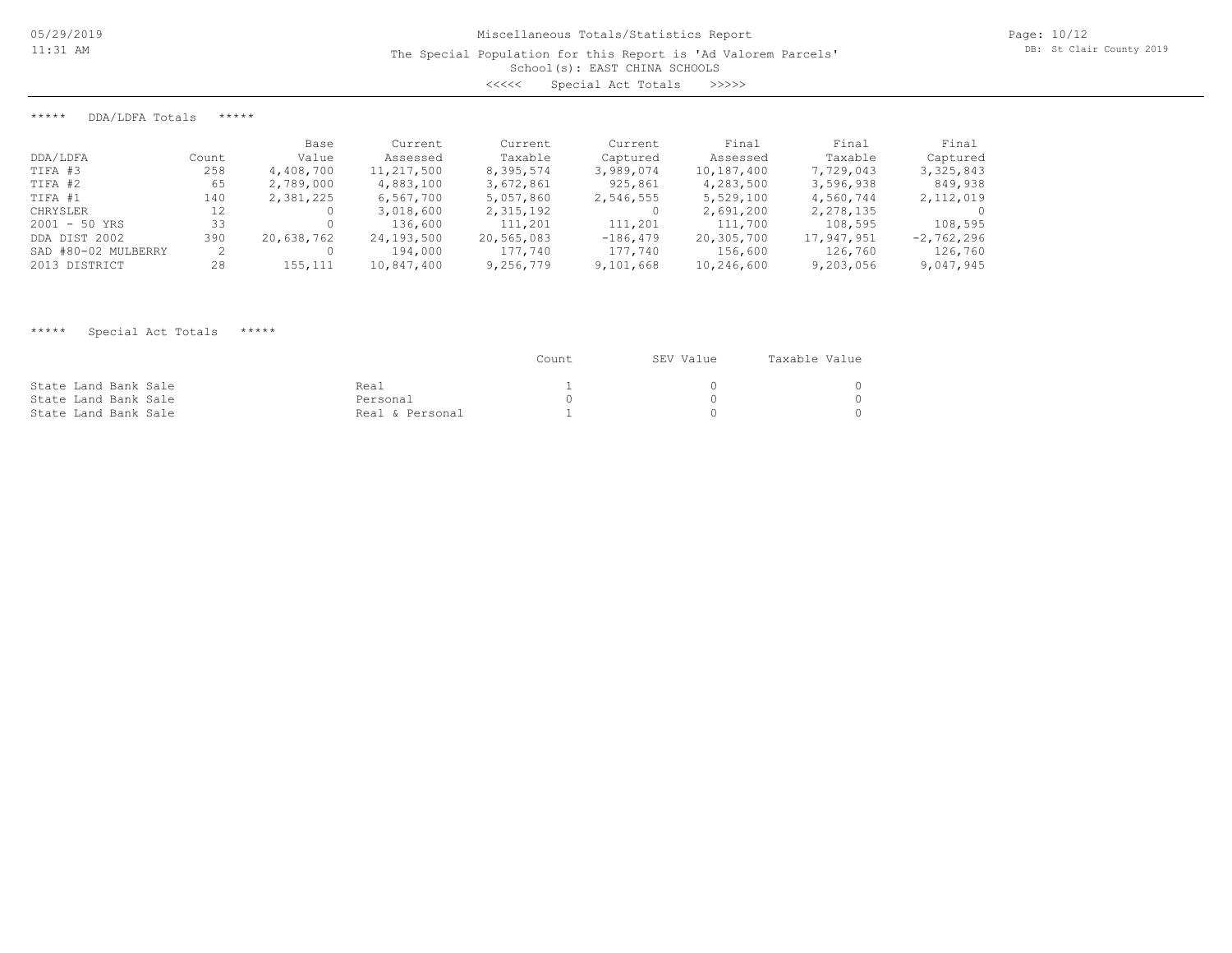School(s): EAST CHINA SCHOOLS

<<<<< Special Act Totals >>>>>

\*\*\*\*\* DDA/LDFA Totals \*\*\*\*\*

|                     |       | Base       | Current    | Current    | Current    | Final      | Final      | Final        |
|---------------------|-------|------------|------------|------------|------------|------------|------------|--------------|
| DDA/LDFA            | Count | Value      | Assessed   | Taxable    | Captured   | Assessed   | Taxable    | Captured     |
| TIFA #3             | 258   | 4,408,700  | 11,217,500 | 8,395,574  | 3,989,074  | 10,187,400 | 7,729,043  | 3, 325, 843  |
| TIFA #2             | 65    | 2,789,000  | 4,883,100  | 3,672,861  | 925,861    | 4,283,500  | 3,596,938  | 849,938      |
| TIFA #1             | 140   | 2,381,225  | 6,567,700  | 5,057,860  | 2,546,555  | 5,529,100  | 4,560,744  | 2,112,019    |
| CHRYSLER            | 12    |            | 3,018,600  | 2,315,192  |            | 2,691,200  | 2,278,135  |              |
| $2001 - 50$ YRS     | 33    |            | 136,600    | 111,201    | 111,201    | 111,700    | 108,595    | 108,595      |
| DDA DIST 2002       | 390   | 20,638,762 | 24,193,500 | 20,565,083 | $-186,479$ | 20,305,700 | 17,947,951 | $-2,762,296$ |
| SAD #80-02 MULBERRY |       |            | 194,000    | 177,740    | 177,740    | 156,600    | 126,760    | 126,760      |
| 2013 DISTRICT       | 28    | 155,111    | 10,847,400 | 9,256,779  | 9,101,668  | 10,246,600 | 9,203,056  | 9,047,945    |

## \*\*\*\*\* Special Act Totals \*\*\*\*\*

|                      |                 | Count | SEV Value | Taxable Value |
|----------------------|-----------------|-------|-----------|---------------|
| State Land Bank Sale | Real            |       |           |               |
| State Land Bank Sale | Personal        |       |           |               |
| State Land Bank Sale | Real & Personal |       |           |               |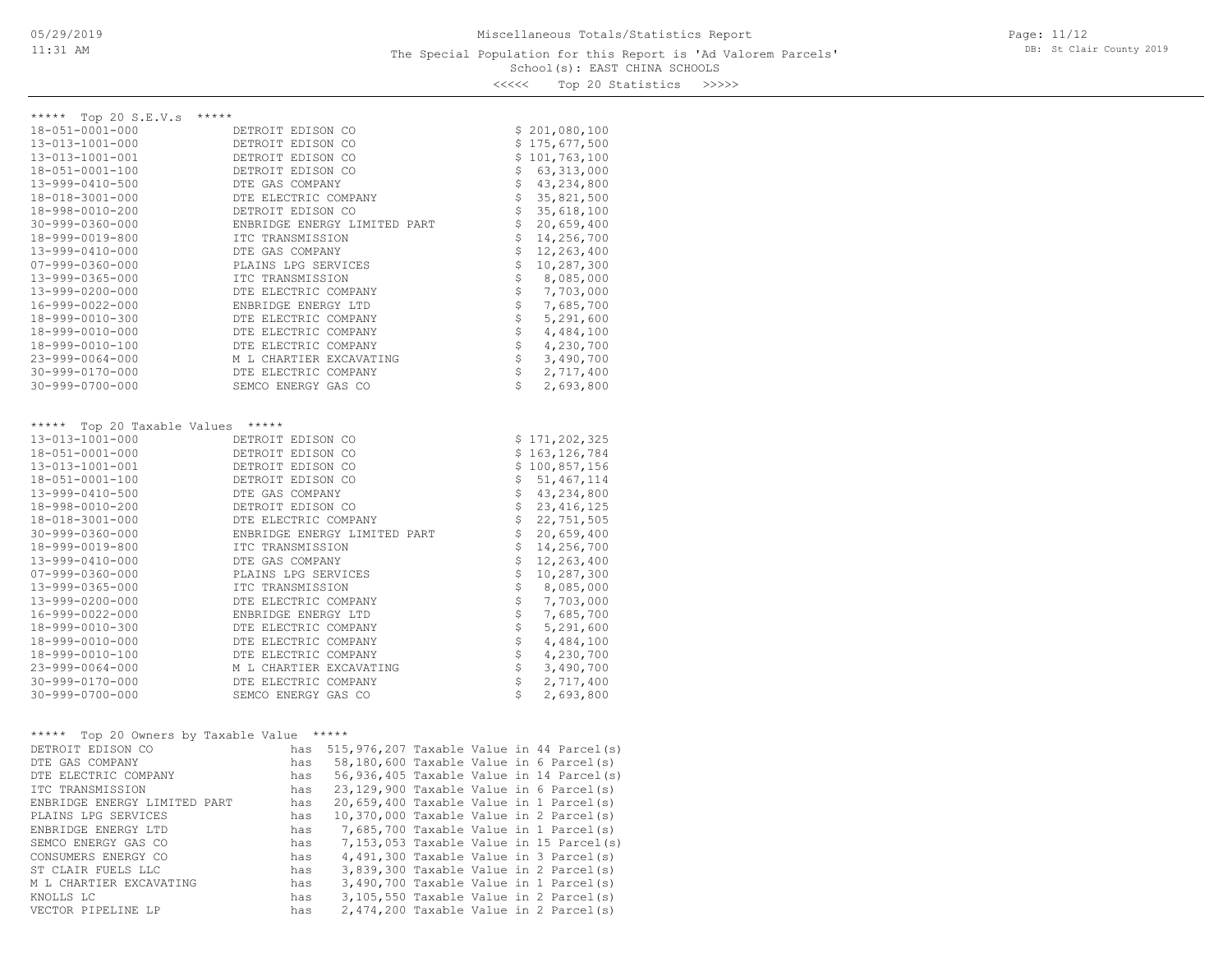### School(s): EAST CHINA SCHOOLS The Special Population for this Report is 'Ad Valorem Parcels'

Page: 11/12 DB: St Clair County 2019

<<<<< Top 20 Statistics >>>>>

| Top 20 S.E.V.s<br>$***$ * * *<br>***** |                              |                            |                            |
|----------------------------------------|------------------------------|----------------------------|----------------------------|
| $18 - 051 - 0001 - 000$                | DETROIT EDISON CO            |                            | \$201,080,100              |
| 13-013-1001-000                        | DETROIT EDISON CO            |                            | \$175,677,500              |
| 13-013-1001-001                        | DETROIT EDISON CO            |                            | \$101, 763, 100            |
| 18-051-0001-100                        | DETROIT EDISON CO            |                            | \$63,313,000               |
| 13-999-0410-500                        | DTE GAS COMPANY              |                            | \$43, 234, 800             |
| 18-018-3001-000                        | DTE ELECTRIC COMPANY         |                            | \$35,821,500               |
| 18-998-0010-200                        | DETROIT EDISON CO            | \$                         | 35,618,100                 |
| $30 - 999 - 0360 - 000$                | ENBRIDGE ENERGY LIMITED PART | \$                         | 20,659,400                 |
| 18-999-0019-800                        | ITC TRANSMISSION             | \$                         | 14,256,700                 |
| 13-999-0410-000                        | DTE GAS COMPANY              | \$                         | 12,263,400                 |
| $07 - 999 - 0360 - 000$                | PLAINS LPG SERVICES          | \$                         | 10,287,300                 |
| 13-999-0365-000                        | ITC TRANSMISSION             | $\dot{\tilde{\mathbf{S}}}$ | 8,085,000                  |
| 13-999-0200-000                        | DTE ELECTRIC COMPANY         | $\dot{\tilde{\mathbf{S}}}$ | 7,703,000                  |
| 16-999-0022-000                        | ENBRIDGE ENERGY LTD          |                            | 7,685,700                  |
| 18-999-0010-300                        | DTE ELECTRIC COMPANY         | なさ                         | 5,291,600                  |
| 18-999-0010-000                        | DTE ELECTRIC COMPANY         |                            | 4,484,100                  |
| 18-999-0010-100                        | DTE ELECTRIC COMPANY         |                            | 4,230,700                  |
| 23-999-0064-000                        | M L CHARTIER EXCAVATING      |                            | $5 - 5$<br>3,490,700       |
| 30-999-0170-000                        | DTE ELECTRIC COMPANY         |                            | 2,717,400                  |
| $30 - 999 - 0700 - 000$                | SEMCO ENERGY GAS CO          | \$                         | 2,693,800                  |
|                                        |                              |                            |                            |
|                                        |                              |                            |                            |
| Top 20 Taxable Values *****<br>*****   |                              |                            |                            |
| 13-013-1001-000                        | DETROIT EDISON CO            |                            | \$171, 202, 325            |
| $18 - 051 - 0001 - 000$                | DETROIT EDISON CO            |                            | \$163, 126, 784            |
| 13-013-1001-001                        | DETROIT EDISON CO            |                            | \$100,857,156              |
| 18-051-0001-100                        | DETROIT EDISON CO            |                            | \$51,467,114               |
| 13-999-0410-500                        | DTE GAS COMPANY              |                            |                            |
| 18-998-0010-200                        | DETROIT EDISON CO            |                            | \$43, 234, 800             |
| 18-018-3001-000                        | DTE ELECTRIC COMPANY         |                            | \$23,416,125               |
| $30 - 999 - 0360 - 000$                | ENBRIDGE ENERGY LIMITED PART |                            | \$22, 751, 505             |
| 18-999-0019-800                        | ITC TRANSMISSION             |                            | \$20,659,400<br>14,256,700 |
| 13-999-0410-000                        | DTE GAS COMPANY              | \$                         | 12,263,400                 |
| $07 - 999 - 0360 - 000$                | PLAINS LPG SERVICES          | \$                         | 10,287,300                 |
| 13-999-0365-000                        | ITC TRANSMISSION             | \$                         | 8,085,000                  |
| 13-999-0200-000                        | DTE ELECTRIC COMPANY         | \$                         | 7,703,000                  |
| 16-999-0022-000                        | ENBRIDGE ENERGY LTD          | \$                         | 7,685,700                  |
| 18-999-0010-300                        | DTE ELECTRIC COMPANY         |                            | 5,291,600                  |
| 18-999-0010-000                        | DTE ELECTRIC COMPANY         |                            | 4,484,100                  |
| 18-999-0010-100                        | DTE ELECTRIC COMPANY         |                            | 4,230,700                  |
| $23 - 999 - 0064 - 000$                | M L CHARTIER EXCAVATING      |                            | 3,490,700                  |
| $30 - 999 - 0170 - 000$                | DTE ELECTRIC COMPANY         | \$\$\$\$\$\$\$\$\$         | 2,717,400                  |
| $30 - 999 - 0700 - 000$                | SEMCO ENERGY GAS CO          | \$                         | 2,693,800                  |

| ***** Top 20 Owners by Taxable Value |     | ***** |  |                                           |
|--------------------------------------|-----|-------|--|-------------------------------------------|
| DETROIT EDISON CO                    | has |       |  | 515,976,207 Taxable Value in 44 Parcel(s) |
| DTE GAS COMPANY                      | has |       |  | 58,180,600 Taxable Value in 6 Parcel(s)   |
| DTE ELECTRIC COMPANY                 | has |       |  | 56,936,405 Taxable Value in 14 Parcel(s)  |
| TTC TRANSMISSION                     | has |       |  | $23,129,900$ Taxable Value in 6 Parcel(s) |
| ENBRIDGE ENERGY LIMITED PART         | has |       |  | $20,659,400$ Taxable Value in 1 Parcel(s) |
| PLAINS LPG SERVICES                  | has |       |  | 10,370,000 Taxable Value in 2 Parcel(s)   |
| ENBRIDGE ENERGY LTD                  | has |       |  | 7,685,700 Taxable Value in 1 Parcel(s)    |
| SEMCO ENERGY GAS CO                  | has |       |  | 7,153,053 Taxable Value in 15 Parcel(s)   |
| CONSUMERS ENERGY CO                  | has |       |  | $4,491,300$ Taxable Value in 3 Parcel(s)  |
| ST CLAIR FUELS LLC                   | has |       |  | 3,839,300 Taxable Value in 2 Parcel(s)    |
| M L CHARTIER EXCAVATING              | has |       |  | $3,490,700$ Taxable Value in 1 Parcel(s)  |
| KNOLLS LC                            | has |       |  | $3,105,550$ Taxable Value in 2 Parcel(s)  |
| VECTOR PIPELINE LP                   | has |       |  | 2,474,200 Taxable Value in 2 Parcel(s)    |